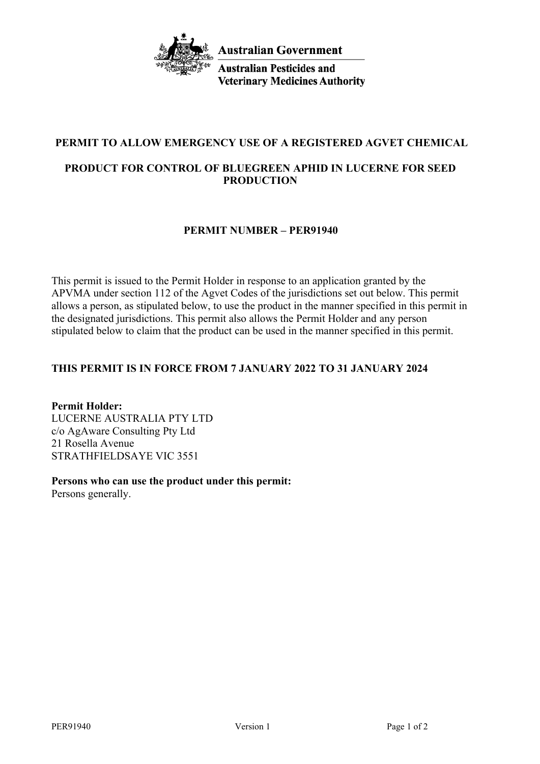

**Australian Pesticides and Veterinary Medicines Authority** 

# **PERMIT TO ALLOW EMERGENCY USE OF A REGISTERED AGVET CHEMICAL**

# **PRODUCT FOR CONTROL OF BLUEGREEN APHID IN LUCERNE FOR SEED PRODUCTION**

## **PERMIT NUMBER – PER91940**

This permit is issued to the Permit Holder in response to an application granted by the APVMA under section 112 of the Agvet Codes of the jurisdictions set out below. This permit allows a person, as stipulated below, to use the product in the manner specified in this permit in the designated jurisdictions. This permit also allows the Permit Holder and any person stipulated below to claim that the product can be used in the manner specified in this permit.

# **THIS PERMIT IS IN FORCE FROM 7 JANUARY 2022 TO 31 JANUARY 2024**

**Permit Holder:** LUCERNE AUSTRALIA PTY LTD c/o AgAware Consulting Pty Ltd 21 Rosella Avenue STRATHFIELDSAYE VIC 3551

**Persons who can use the product under this permit:** Persons generally.